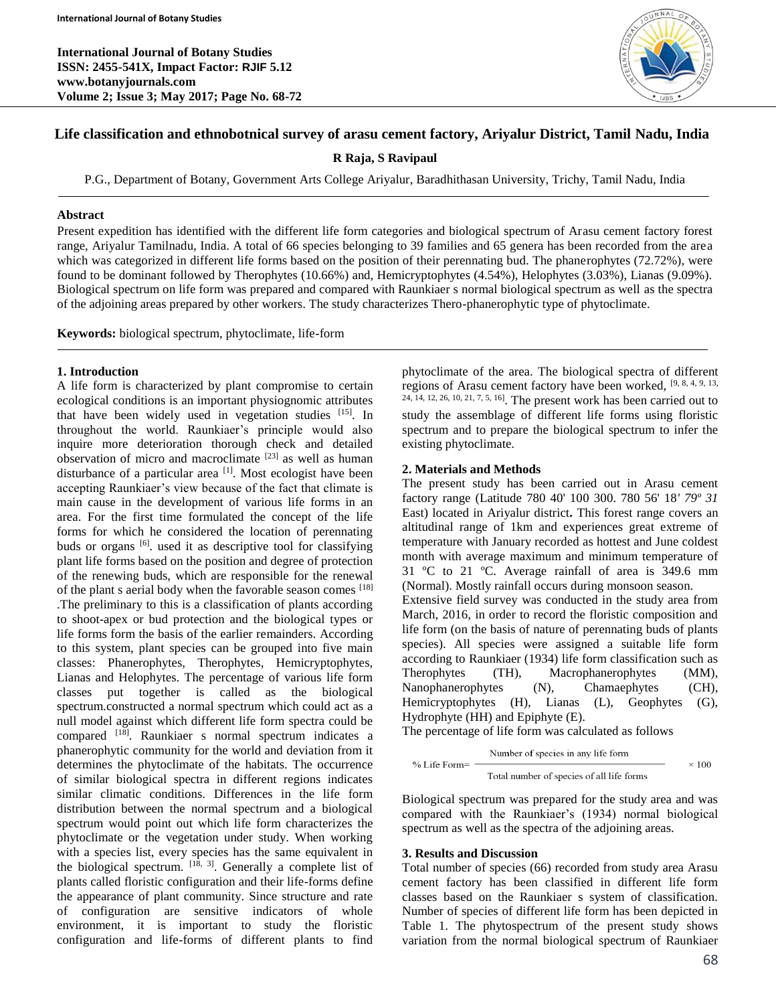

## **Life classification and ethnobotnical survey of arasu cement factory, Ariyalur District, Tamil Nadu, India**

**R Raja, S Ravipaul**

P.G., Department of Botany, Government Arts College Ariyalur, Baradhithasan University, Trichy, Tamil Nadu, India

## **Abstract**

Present expedition has identified with the different life form categories and biological spectrum of Arasu cement factory forest range, Ariyalur Tamilnadu, India. A total of 66 species belonging to 39 families and 65 genera has been recorded from the area which was categorized in different life forms based on the position of their perennating bud. The phanerophytes (72.72%), were found to be dominant followed by Therophytes (10.66%) and, Hemicryptophytes (4.54%), Helophytes (3.03%), Lianas (9.09%). Biological spectrum on life form was prepared and compared with Raunkiaer s normal biological spectrum as well as the spectra of the adjoining areas prepared by other workers. The study characterizes Thero-phanerophytic type of phytoclimate.

**Keywords:** biological spectrum, phytoclimate, life-form

## **1. Introduction**

A life form is characterized by plant compromise to certain ecological conditions is an important physiognomic attributes that have been widely used in vegetation studies [15]. In throughout the world. Raunkiaer's principle would also inquire more deterioration thorough check and detailed observation of micro and macroclimate [23] as well as human disturbance of a particular area [1]. Most ecologist have been accepting Raunkiaer's view because of the fact that climate is main cause in the development of various life forms in an area. For the first time formulated the concept of the life forms for which he considered the location of perennating buds or organs [6]. used it as descriptive tool for classifying plant life forms based on the position and degree of protection of the renewing buds, which are responsible for the renewal of the plant s aerial body when the favorable season comes [18] .The preliminary to this is a classification of plants according to shoot-apex or bud protection and the biological types or life forms form the basis of the earlier remainders. According to this system, plant species can be grouped into five main classes: Phanerophytes, Therophytes, Hemicryptophytes, Lianas and Helophytes. The percentage of various life form classes put together is called as the biological spectrum.constructed a normal spectrum which could act as a null model against which different life form spectra could be compared [18]. Raunkiaer s normal spectrum indicates a phanerophytic community for the world and deviation from it determines the phytoclimate of the habitats. The occurrence of similar biological spectra in different regions indicates similar climatic conditions. Differences in the life form distribution between the normal spectrum and a biological spectrum would point out which life form characterizes the phytoclimate or the vegetation under study. When working with a species list, every species has the same equivalent in the biological spectrum.  $[18, 3]$ . Generally a complete list of plants called floristic configuration and their life-forms define the appearance of plant community. Since structure and rate of configuration are sensitive indicators of whole environment, it is important to study the floristic configuration and life-forms of different plants to find

phytoclimate of the area. The biological spectra of different regions of Arasu cement factory have been worked, [9, 8, 4, 9, 13, 24, 14, 12, 26, 10, 21, 7, 5, 16]. The present work has been carried out to study the assemblage of different life forms using floristic spectrum and to prepare the biological spectrum to infer the existing phytoclimate.

## **2. Materials and Methods**

The present study has been carried out in Arasu cement factory range (Latitude 780 40' 100 300. 780 56' 18*' 79º 31*  East) located in Ariyalur district**.** This forest range covers an altitudinal range of 1km and experiences great extreme of temperature with January recorded as hottest and June coldest month with average maximum and minimum temperature of 31 ºC to 21 ºC. Average rainfall of area is 349.6 mm (Normal). Mostly rainfall occurs during monsoon season. Extensive field survey was conducted in the study area from March, 2016, in order to record the floristic composition and life form (on the basis of nature of perennating buds of plants species). All species were assigned a suitable life form according to Raunkiaer (1934) life form classification such as Therophytes (TH), Macrophanerophytes (MM), Nanophanerophytes (N), Chamaephytes (CH), Hemicryptophytes (H), Lianas (L), Geophytes (G), Hydrophyte (HH) and Epiphyte (E).

The percentage of life form was calculated as follows

$$
\% \text{ Life Form} = \frac{\text{Number of species in any life form}}{\text{Total number of species of all life forms}} \times 100
$$

Biological spectrum was prepared for the study area and was compared with the Raunkiaer's (1934) normal biological spectrum as well as the spectra of the adjoining areas.

# **3. Results and Discussion**

Total number of species (66) recorded from study area Arasu cement factory has been classified in different life form classes based on the Raunkiaer s system of classification. Number of species of different life form has been depicted in Table 1. The phytospectrum of the present study shows variation from the normal biological spectrum of Raunkiaer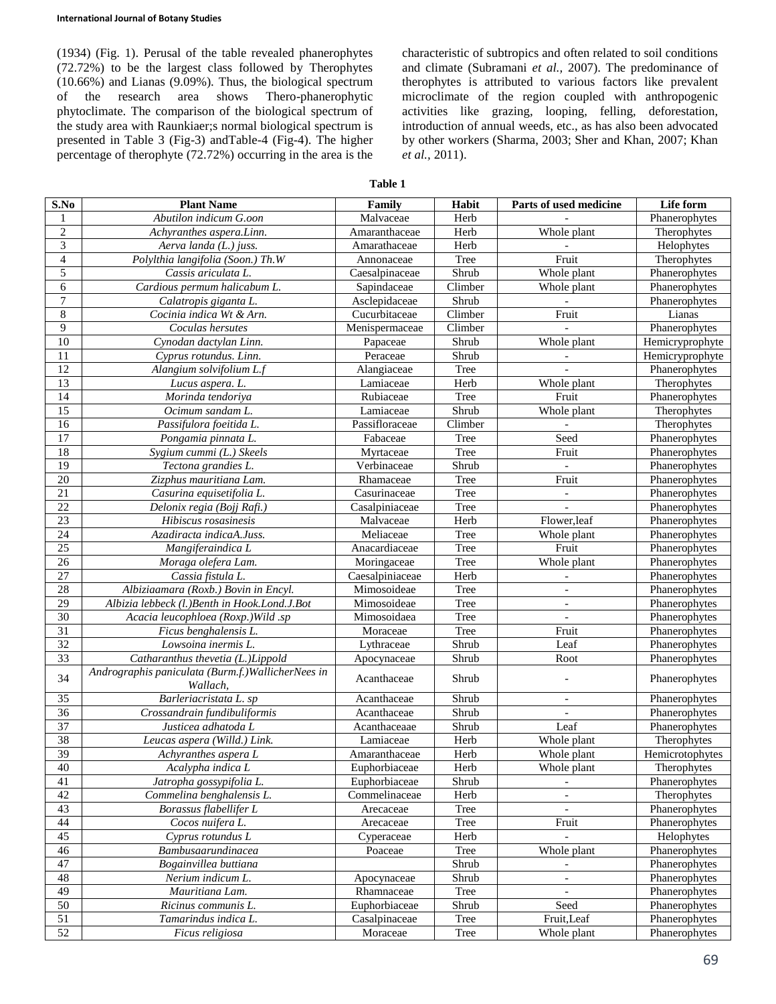(1934) (Fig. 1). Perusal of the table revealed phanerophytes (72.72%) to be the largest class followed by Therophytes (10.66%) and Lianas (9.09%). Thus, the biological spectrum of the research area shows Thero-phanerophytic phytoclimate. The comparison of the biological spectrum of the study area with Raunkiaer;s normal biological spectrum is presented in Table 3 (Fig-3) andTable-4 (Fig-4). The higher percentage of therophyte (72.72%) occurring in the area is the characteristic of subtropics and often related to soil conditions and climate (Subramani *et al.,* 2007). The predominance of therophytes is attributed to various factors like prevalent microclimate of the region coupled with anthropogenic activities like grazing, looping, felling, deforestation, introduction of annual weeds, etc., as has also been advocated by other workers (Sharma, 2003; Sher and Khan, 2007; Khan *et al.,* 2011).

**Table 1**

| S.No                     | <b>Plant Name</b>                                              | Family          | Habit   | Parts of used medicine       | Life form       |
|--------------------------|----------------------------------------------------------------|-----------------|---------|------------------------------|-----------------|
| 1                        | Abutilon indicum G.oon                                         | Malvaceae       | Herb    |                              | Phanerophytes   |
| $\overline{2}$           | Achyranthes aspera.Linn.                                       | Amaranthaceae   | Herb    | Whole plant                  | Therophytes     |
| $\overline{\mathbf{3}}$  | Aerva landa (L.) juss.                                         | Amarathaceae    | Herb    |                              | Helophytes      |
| $\overline{\mathcal{A}}$ | Polylthia langifolia (Soon.) Th.W                              | Annonaceae      | Tree    | Fruit                        | Therophytes     |
| 5                        | Cassis ariculata L.                                            | Caesalpinaceae  | Shrub   | Whole plant                  | Phanerophytes   |
| $\overline{6}$           | Cardious permum halicabum L.                                   | Sapindaceae     | Climber | Whole plant                  | Phanerophytes   |
| $\overline{7}$           | Calatropis giganta L.                                          | Asclepidaceae   | Shrub   |                              | Phanerophytes   |
| $\overline{8}$           | Cocinia indica Wt & Arn.                                       | Cucurbitaceae   | Climber | Fruit                        | Lianas          |
| $\overline{9}$           | Coculas hersutes                                               | Menispermaceae  | Climber |                              | Phanerophytes   |
| $10\,$                   | Cynodan dactylan Linn.                                         | Papaceae        | Shrub   | Whole plant                  | Hemicryprophyte |
| 11                       | Cyprus rotundus. Linn.                                         | Peraceae        | Shrub   |                              | Hemicryprophyte |
| $\overline{12}$          | Alangium solvifolium L.f                                       | Alangiaceae     | Tree    |                              | Phanerophytes   |
| $\overline{13}$          | Lucus aspera. L.                                               | Lamiaceae       | Herb    | Whole plant                  | Therophytes     |
| 14                       | Morinda tendoriya                                              | Rubiaceae       | Tree    | Fruit                        | Phanerophytes   |
| $\overline{15}$          | Ocimum sandam L.                                               | Lamiaceae       | Shrub   | Whole plant                  | Therophytes     |
| 16                       | Passifulora foeitida L.                                        | Passifloraceae  | Climber |                              | Therophytes     |
| $\overline{17}$          | Pongamia pinnata L.                                            | Fabaceae        | Tree    | Seed                         | Phanerophytes   |
| 18                       | Sygium cummi (L.) Skeels                                       | Myrtaceae       | Tree    | Fruit                        | Phanerophytes   |
| 19                       | Tectona grandies L.                                            | Verbinaceae     | Shrub   | $\overline{\phantom{a}}$     | Phanerophytes   |
| 20                       | Zizphus mauritiana Lam.                                        | Rhamaceae       | Tree    | Fruit                        | Phanerophytes   |
| 21                       | Casurina equisetifolia L.                                      | Casurinaceae    | Tree    | $\overline{\phantom{a}}$     | Phanerophytes   |
| 22                       | Delonix regia (Bojj Rafi.)                                     | Casalpiniaceae  | Tree    |                              | Phanerophytes   |
| $\overline{23}$          | Hibiscus rosasinesis                                           | Malvaceae       | Herb    | Flower, leaf                 | Phanerophytes   |
| 24                       | Azadiracta indicaA.Juss.                                       | Meliaceae       | Tree    | Whole plant                  | Phanerophytes   |
| 25                       | Mangiferaindica L                                              | Anacardiaceae   | Tree    | Fruit                        | Phanerophytes   |
| $\overline{26}$          | Moraga olefera Lam.                                            | Moringaceae     | Tree    | Whole plant                  | Phanerophytes   |
| 27                       | Cassia fistula L.                                              | Caesalpiniaceae | Herb    |                              | Phanerophytes   |
| 28                       | Albiziaamara (Roxb.) Bovin in Encyl.                           | Mimosoideae     | Tree    | $\overline{\phantom{a}}$     | Phanerophytes   |
| 29                       | Albizia lebbeck (l.)Benth in Hook.Lond.J.Bot                   | Mimosoideae     | Tree    | $\qquad \qquad \blacksquare$ | Phanerophytes   |
| $\overline{30}$          | Acacia leucophloea (Roxp.) Wild .sp                            | Mimosoidaea     | Tree    | $\blacksquare$               | Phanerophytes   |
| 31                       | Ficus benghalensis L.                                          | Moraceae        | Tree    | Fruit                        | Phanerophytes   |
| 32                       | Lowsoina inermis L.                                            | Lythraceae      | Shrub   | Leaf                         | Phanerophytes   |
| 33                       | Catharanthus thevetia (L.)Lippold                              | Apocynaceae     | Shrub   | Root                         | Phanerophytes   |
| 34                       | Andrographis paniculata (Burm.f.) WallicherNees in<br>Wallach. | Acanthaceae     | Shrub   |                              | Phanerophytes   |
| 35                       | Barleriacristata L. sp                                         | Acanthaceae     | Shrub   | $\overline{\phantom{a}}$     | Phanerophytes   |
| 36                       | Crossandrain fundibuliformis                                   | Acanthaceae     | Shrub   | $\blacksquare$               | Phanerophytes   |
| $\overline{37}$          | Justicea adhatoda L                                            | Acanthaceaae    | Shrub   | Leaf                         | Phanerophytes   |
| 38                       | Leucas aspera (Willd.) Link.                                   | Lamiaceae       | Herb    | Whole plant                  | Therophytes     |
| $\overline{39}$          | Achyranthes aspera L                                           | Amaranthaceae   | Herb    | Whole plant                  | Hemicrotophytes |
| 40                       | Acalypha indica L                                              | Euphorbiaceae   | Herb    | Whole plant                  | Therophytes     |
| 41                       | Jatropha gossypifolia L.                                       | Euphorbiaceae   | Shrub   |                              | Phanerophytes   |
| 42                       | Commelina benghalensis L.                                      | Commelinaceae   | Herb    |                              | Therophytes     |
| 43                       | Borassus flabellifer L                                         | Arecaceae       | Tree    |                              | Phanerophytes   |
| 44                       | Cocos nuifera L.                                               | Arecaceae       | Tree    | Fruit                        | Phanerophytes   |
| 45                       | Cyprus rotundus L                                              | Cyperaceae      | Herb    |                              | Helophytes      |
| 46                       | Bambusaarundinacea                                             | Poaceae         | Tree    | Whole plant                  | Phanerophytes   |
| 47                       | Bogainvillea buttiana                                          |                 | Shrub   | $\overline{\phantom{a}}$     | Phanerophytes   |
| 48                       | Nerium indicum L.                                              | Apocynaceae     | Shrub   |                              | Phanerophytes   |
| 49                       | Mauritiana Lam.                                                | Rhamnaceae      | Tree    | $\overline{\phantom{a}}$     | Phanerophytes   |
| 50                       | Ricinus communis L.                                            | Euphorbiaceae   | Shrub   | Seed                         | Phanerophytes   |
| 51                       | Tamarindus indica L.                                           | Casalpinaceae   | Tree    | Fruit, Leaf                  | Phanerophytes   |
| $\overline{52}$          | Ficus religiosa                                                | Moraceae        | Tree    | Whole plant                  | Phanerophytes   |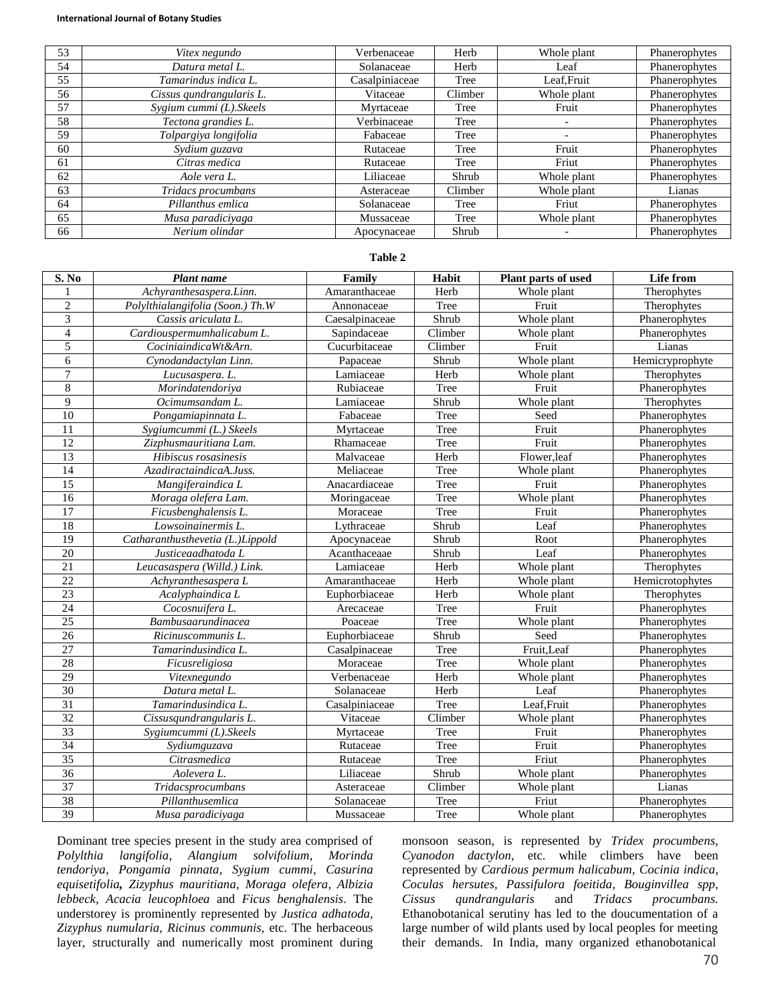#### **International Journal of Botany Studies**

| 53 | Vitex negundo            | Verbenaceae    | Herb    | Whole plant | Phanerophytes |
|----|--------------------------|----------------|---------|-------------|---------------|
| 54 | Datura metal L.          | Solanaceae     | Herb    | Leaf        | Phanerophytes |
| 55 | Tamarindus indica L.     | Casalpiniaceae | Tree    | Leaf, Fruit | Phanerophytes |
| 56 | Cissus qundrangularis L. | Vitaceae       | Climber | Whole plant | Phanerophytes |
| 57 | Sygium cummi (L). Skeels | Myrtaceae      | Tree    | Fruit       | Phanerophytes |
| 58 | Tectona grandies L.      | Verbinaceae    | Tree    |             | Phanerophytes |
| 59 | Tolpargiya longifolia    | Fabaceae       | Tree    |             | Phanerophytes |
| 60 | Sydium guzava            | Rutaceae       | Tree    | Fruit       | Phanerophytes |
| 61 | Citras medica            | Rutaceae       | Tree    | Friut       | Phanerophytes |
| 62 | Aole vera L.             | Liliaceae      | Shrub   | Whole plant | Phanerophytes |
| 63 | Tridacs procumbans       | Asteraceae     | Climber | Whole plant | Lianas        |
| 64 | Pillanthus emlica        | Solanaceae     | Tree    | Friut       | Phanerophytes |
| 65 | Musa paradiciyaga        | Mussaceae      | Tree    | Whole plant | Phanerophytes |
| 66 | Nerium olindar           | Apocynaceae    | Shrub   |             | Phanerophytes |

## **Table 2**

| S. No           | Plant name                       | Family         | Habit   | <b>Plant parts of used</b> | Life from       |
|-----------------|----------------------------------|----------------|---------|----------------------------|-----------------|
| 1               | Achyranthesaspera.Linn.          | Amaranthaceae  | Herb    | Whole plant                | Therophytes     |
| $\overline{2}$  | Polylthialangifolia (Soon.) Th.W | Annonaceae     | Tree    | Fruit                      | Therophytes     |
| 3               | Cassis ariculata L.              | Caesalpinaceae | Shrub   | Whole plant                | Phanerophytes   |
| $\overline{4}$  | Cardiouspermumhalicabum L.       | Sapindaceae    | Climber | Whole plant                | Phanerophytes   |
| $\overline{5}$  | CociniaindicaWt&Arn.             | Cucurbitaceae  | Climber | Fruit                      | Lianas          |
| 6               | Cynodandactylan Linn.            | Papaceae       | Shrub   | Whole plant                | Hemicryprophyte |
| $\overline{7}$  | Lucusaspera. L.                  | Lamiaceae      | Herb    | Whole plant                | Therophytes     |
| $\,$ 8 $\,$     | Morindatendoriya                 | Rubiaceae      | Tree    | Fruit                      | Phanerophytes   |
| 9               | Ocimumsandam L.                  | Lamiaceae      | Shrub   | Whole plant                | Therophytes     |
| $\overline{10}$ | Pongamiapinnata L.               | Fabaceae       | Tree    | Seed                       | Phanerophytes   |
| $\overline{11}$ | Sygiumcummi (L.) Skeels          | Myrtaceae      | Tree    | Fruit                      | Phanerophytes   |
| 12              | Zizphusmauritiana Lam.           | Rhamaceae      | Tree    | Fruit                      | Phanerophytes   |
| $\overline{13}$ | Hibiscus rosasinesis             | Malvaceae      | Herb    | Flower, leaf               | Phanerophytes   |
| 14              | AzadiractaindicaA.Juss.          | Meliaceae      | Tree    | Whole plant                | Phanerophytes   |
| $\overline{15}$ | Mangiferaindica L                | Anacardiaceae  | Tree    | Fruit                      | Phanerophytes   |
| 16              | Moraga olefera Lam.              | Moringaceae    | Tree    | Whole plant                | Phanerophytes   |
| $\overline{17}$ | Ficusbenghalensis L.             | Moraceae       | Tree    | Fruit                      | Phanerophytes   |
| 18              | Lowsoinainermis L.               | Lythraceae     | Shrub   | Leaf                       | Phanerophytes   |
| $\overline{19}$ | Catharanthusthevetia (L.)Lippold | Apocynaceae    | Shrub   | Root                       | Phanerophytes   |
| $\overline{20}$ | Justiceaadhatoda L               | Acanthaceaae   | Shrub   | Leaf                       | Phanerophytes   |
| $\overline{21}$ | Leucasaspera (Willd.) Link.      | Lamiaceae      | Herb    | Whole plant                | Therophytes     |
| 22              | Achyranthesaspera L              | Amaranthaceae  | Herb    | Whole plant                | Hemicrotophytes |
| 23              | Acalyphaindica L                 | Euphorbiaceae  | Herb    | Whole plant                | Therophytes     |
| 24              | Cocosnuifera L.                  | Arecaceae      | Tree    | Fruit                      | Phanerophytes   |
| $\overline{25}$ | <b>Bambusaarundinacea</b>        | Poaceae        | Tree    | Whole plant                | Phanerophytes   |
| 26              | Ricinuscommunis L.               | Euphorbiaceae  | Shrub   | Seed                       | Phanerophytes   |
| 27              | Tamarindusindica L.              | Casalpinaceae  | Tree    | Fruit, Leaf                | Phanerophytes   |
| 28              | Ficusreligiosa                   | Moraceae       | Tree    | Whole plant                | Phanerophytes   |
| 29              | Vitexnegundo                     | Verbenaceae    | Herb    | Whole plant                | Phanerophytes   |
| 30              | Datura metal L.                  | Solanaceae     | Herb    | Leaf                       | Phanerophytes   |
| $\overline{31}$ | Tamarindusindica L.              | Casalpiniaceae | Tree    | Leaf, Fruit                | Phanerophytes   |
| 32              | Cissusqundrangularis L.          | Vitaceae       | Climber | Whole plant                | Phanerophytes   |
| 33              | Sygiumcummi (L).Skeels           | Myrtaceae      | Tree    | Fruit                      | Phanerophytes   |
| $\overline{34}$ | Sydiumguzava                     | Rutaceae       | Tree    | Fruit                      | Phanerophytes   |
| $\overline{35}$ | Citrasmedica                     | Rutaceae       | Tree    | Friut                      | Phanerophytes   |
| 36              | Aolevera L.                      | Liliaceae      | Shrub   | Whole plant                | Phanerophytes   |
| 37              | Tridacsprocumbans                | Asteraceae     | Climber | Whole plant                | Lianas          |
| 38              | Pillanthusemlica                 | Solanaceae     | Tree    | Friut                      | Phanerophytes   |
| 39              | Musa paradicivaga                | Mussaceae      | Tree    | Whole plant                | Phanerophytes   |

Dominant tree species present in the study area comprised of *Polylthia langifolia, Alangium solvifolium*, *Morinda tendoriya, Pongamia pinnata, Sygium cummi, Casurina equisetifolia, Zizyphus mauritiana, Moraga olefera, Albizia lebbeck, Acacia leucophloea* and *Ficus benghalensis*. The understorey is prominently represented by *Justica adhatoda, Zizyphus numularia, Ricinus communis,* etc. The herbaceous layer, structurally and numerically most prominent during monsoon season, is represented by *Tridex procumbens, Cyanodon dactylon,* etc. while climbers have been represented by *Cardious permum halicabum, Cocinia indica, Coculas hersutes, Passifulora foeitida, Bouginvillea spp, Cissus qundrangularis* and *Tridacs procumbans.* Ethanobotanical serutiny has led to the doucumentation of a large number of wild plants used by local peoples for meeting their demands. In India, many organized ethanobotanical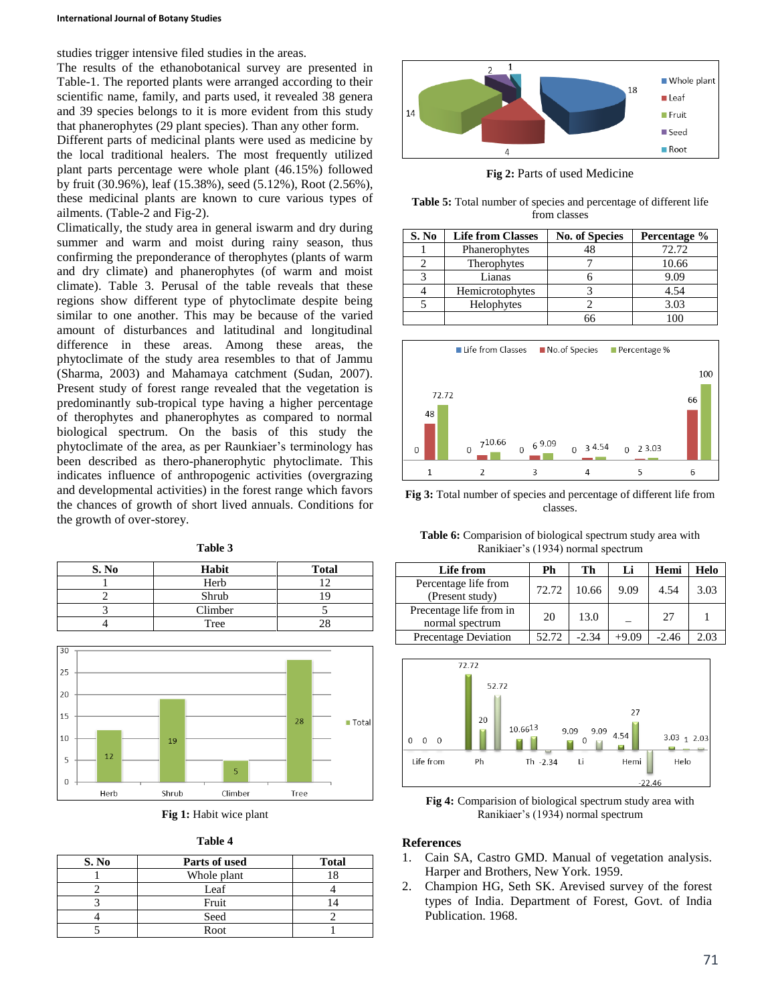### **International Journal of Botany Studies**

studies trigger intensive filed studies in the areas.

The results of the ethanobotanical survey are presented in Table-1. The reported plants were arranged according to their scientific name, family, and parts used, it revealed 38 genera and 39 species belongs to it is more evident from this study that phanerophytes (29 plant species). Than any other form.

Different parts of medicinal plants were used as medicine by the local traditional healers. The most frequently utilized plant parts percentage were whole plant (46.15%) followed by fruit (30.96%), leaf (15.38%), seed (5.12%), Root (2.56%), these medicinal plants are known to cure various types of ailments. (Table-2 and Fig-2).

Climatically, the study area in general iswarm and dry during summer and warm and moist during rainy season, thus confirming the preponderance of therophytes (plants of warm and dry climate) and phanerophytes (of warm and moist climate). Table 3. Perusal of the table reveals that these regions show different type of phytoclimate despite being similar to one another. This may be because of the varied amount of disturbances and latitudinal and longitudinal difference in these areas. Among these areas, the phytoclimate of the study area resembles to that of Jammu (Sharma, 2003) and Mahamaya catchment (Sudan, 2007). Present study of forest range revealed that the vegetation is predominantly sub-tropical type having a higher percentage of therophytes and phanerophytes as compared to normal biological spectrum. On the basis of this study the phytoclimate of the area, as per Raunkiaer's terminology has been described as thero-phanerophytic phytoclimate. This indicates influence of anthropogenic activities (overgrazing and developmental activities) in the forest range which favors the chances of growth of short lived annuals. Conditions for the growth of over-storey.

| 'able |  |
|-------|--|
|-------|--|

| S. No | Habit   | <b>Total</b> |
|-------|---------|--------------|
|       | Herb    |              |
|       | Shrub   |              |
|       | Climber |              |
|       | Tree    |              |







| S. No | Parts of used | <b>Total</b> |
|-------|---------------|--------------|
|       | Whole plant   |              |
|       | Leaf          |              |
|       | Fruit         |              |
|       | Seed          |              |
|       | Root          |              |



**Fig 2:** Parts of used Medicine

**Table 5:** Total number of species and percentage of different life from classes

| S. No | <b>Life from Classes</b> | <b>No. of Species</b> | Percentage % |
|-------|--------------------------|-----------------------|--------------|
|       | Phanerophytes            | 48                    | 72.72        |
|       | Therophytes              |                       | 10.66        |
| 2     | Lianas                   |                       | 9.09         |
|       | Hemicrotophytes          |                       | 4.54         |
|       | Helophytes               |                       | 3.03         |
|       |                          | 66                    |              |



**Fig 3:** Total number of species and percentage of different life from classes.

**Table 6:** Comparision of biological spectrum study area with Ranikiaer's (1934) normal spectrum

| Life from                                  | Ph    | Th      | Li      | Hemi    | Helo |
|--------------------------------------------|-------|---------|---------|---------|------|
| Percentage life from<br>(Present study)    | 72.72 | 10.66   | 9.09    | 4.54    | 3.03 |
| Precentage life from in<br>normal spectrum | 20    | 13.0    |         | 27      |      |
| Precentage Deviation                       | 52.72 | $-2.34$ | $+9.09$ | $-2.46$ | 2.03 |



**Fig 4:** Comparision of biological spectrum study area with Ranikiaer's (1934) normal spectrum

# **References**

- 1. Cain SA, Castro GMD. Manual of vegetation analysis. Harper and Brothers, New York. 1959.
- 2. Champion HG, Seth SK. Arevised survey of the forest types of India. Department of Forest, Govt. of India Publication. 1968.